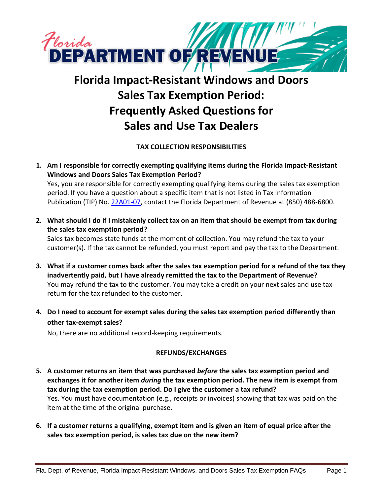

# **Florida Impact-Resistant Windows and Doors Sales Tax Exemption Period: Frequently Asked Questions for Sales and Use Tax Dealers**

**TAX COLLECTION RESPONSIBILITIES**

**1. Am I responsible for correctly exempting qualifying items during the Florida Impact-Resistant Windows and Doors Sales Tax Exemption Period?**

Yes, you are responsible for correctly exempting qualifying items during the sales tax exemption period. If you have a question about a specific item that is not listed in Tax Information Publication (TIP) No[. 22A01-07,](https://floridarevenue.com/taxes/tips/Documents/TIP_22A01-07.pdf) contact the Florida Department of Revenue at (850) 488-6800.

**2. What should I do if I mistakenly collect tax on an item that should be exempt from tax during the sales tax exemption period?**

Sales tax becomes state funds at the moment of collection. You may refund the tax to your customer(s). If the tax cannot be refunded, you must report and pay the tax to the Department.

- **3. What if a customer comes back after the sales tax exemption period for a refund of the tax they inadvertently paid, but I have already remitted the tax to the Department of Revenue?** You may refund the tax to the customer. You may take a credit on your next sales and use tax return for the tax refunded to the customer.
- **4. Do I need to account for exempt sales during the sales tax exemption period differently than other tax-exempt sales?**

No, there are no additional record-keeping requirements.

## **REFUNDS/EXCHANGES**

- **5. A customer returns an item that was purchased** *before* **the sales tax exemption period and exchanges it for another item** *during* **the tax exemption period. The new item is exempt from tax during the tax exemption period. Do I give the customer a tax refund?** Yes. You must have documentation (e.g., receipts or invoices) showing that tax was paid on the item at the time of the original purchase.
- **6. If a customer returns a qualifying, exempt item and is given an item of equal price after the sales tax exemption period, is sales tax due on the new item?**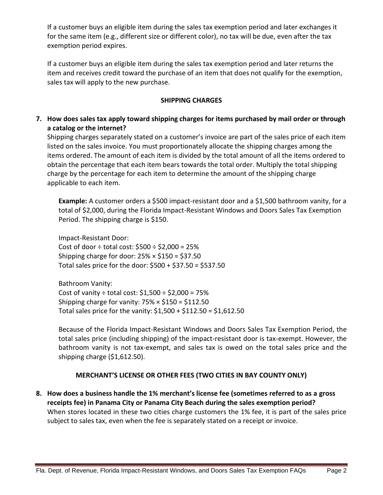If a customer buys an eligible item during the sales tax exemption period and later exchanges it for the same item (e.g., different size or different color), no tax will be due, even after the tax exemption period expires.

If a customer buys an eligible item during the sales tax exemption period and later returns the item and receives credit toward the purchase of an item that does not qualify for the exemption, sales tax will apply to the new purchase.

#### **SHIPPING CHARGES**

**7. How does sales tax apply toward shipping charges for items purchased by mail order or through a catalog or the internet?**

Shipping charges separately stated on a customer's invoice are part of the sales price of each item listed on the sales invoice. You must proportionately allocate the shipping charges among the items ordered. The amount of each item is divided by the total amount of all the items ordered to obtain the percentage that each item bears towards the total order. Multiply the total shipping charge by the percentage for each item to determine the amount of the shipping charge applicable to each item.

**Example:** A customer orders a \$500 impact-resistant door and a \$1,500 bathroom vanity, for a total of \$2,000, during the Florida Impact-Resistant Windows and Doors Sales Tax Exemption Period. The shipping charge is \$150.

Impact-Resistant Door: Cost of door  $\div$  total cost: \$500  $\div$  \$2,000 = 25% Shipping charge for door:  $25\% \times $150 = $37.50$ Total sales price for the door: \$500 + \$37.50 = \$537.50

Bathroom Vanity: Cost of vanity  $\div$  total cost:  $$1,500 \div $2,000 = 75\%$ Shipping charge for vanity:  $75\% \times $150 = $112.50$ Total sales price for the vanity: \$1,500 + \$112.50 = \$1,612.50

Because of the Florida Impact-Resistant Windows and Doors Sales Tax Exemption Period, the total sales price (including shipping) of the impact-resistant door is tax-exempt. However, the bathroom vanity is not tax-exempt, and sales tax is owed on the total sales price and the shipping charge (\$1,612.50).

## **MERCHANT'S LICENSE OR OTHER FEES (TWO CITIES IN BAY COUNTY ONLY)**

**8. How does a business handle the 1% merchant's license fee (sometimes referred to as a gross receipts fee) in Panama City or Panama City Beach during the sales exemption period?** When stores located in these two cities charge customers the 1% fee, it is part of the sales price subject to sales tax, even when the fee is separately stated on a receipt or invoice.